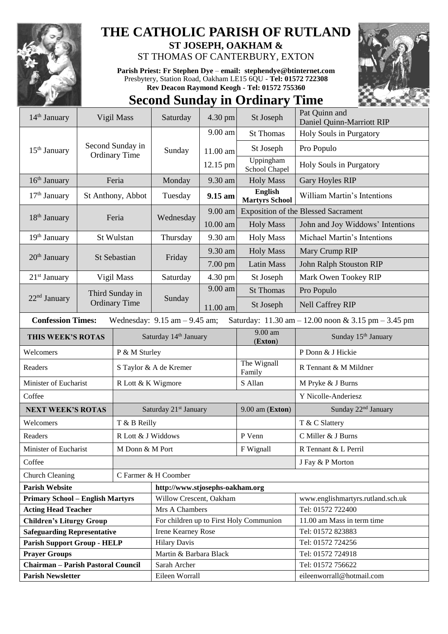

## **THE CATHOLIC PARISH OF RUTLAND**

**ST JOSEPH, OAKHAM &**  ST THOMAS OF CANTERBURY, EXTON

**Parish Priest: Fr Stephen Dye** – **[email: stephendye@btinternet.com](mailto:email:%20%20stephendye@btinternet.com)** Presbytery, Station Road, Oakham LE15 6QU - **Tel: 01572 722308 Rev Deacon Raymond Keogh - Tel: 01572 755360**



## **Second Sunday in Ordinary Time**

| 14 <sup>th</sup> January                                                                                                                                |                                          | Vigil Mass                        | Saturday               | 4.30 pm            | St Joseph                               | Pat Quinn and<br>Daniel Quinn-Marriott RIP |
|---------------------------------------------------------------------------------------------------------------------------------------------------------|------------------------------------------|-----------------------------------|------------------------|--------------------|-----------------------------------------|--------------------------------------------|
|                                                                                                                                                         |                                          |                                   |                        | 9.00 am            | <b>St Thomas</b>                        | Holy Souls in Purgatory                    |
| $15th$ January                                                                                                                                          | Second Sunday in<br><b>Ordinary Time</b> |                                   | Sunday                 | 11.00 am           | St Joseph                               | Pro Populo                                 |
|                                                                                                                                                         |                                          |                                   |                        | 12.15 pm           | Uppingham<br>School Chapel              | Holy Souls in Purgatory                    |
| $16th$ January                                                                                                                                          |                                          | Feria                             | Monday                 | 9.30 am            | <b>Holy Mass</b>                        | <b>Gary Hoyles RIP</b>                     |
| 17 <sup>th</sup> January                                                                                                                                | St Anthony, Abbot                        |                                   | Tuesday                | $9.15$ am          | <b>English</b><br><b>Martyrs School</b> | William Martin's Intentions                |
| 18 <sup>th</sup> January                                                                                                                                |                                          | Feria                             | Wednesday              | 9.00 am            |                                         | <b>Exposition of the Blessed Sacrament</b> |
|                                                                                                                                                         |                                          |                                   |                        | 10.00 am           | <b>Holy Mass</b>                        | John and Joy Widdows' Intentions           |
| 19 <sup>th</sup> January                                                                                                                                | St Wulstan                               |                                   | Thursday               | 9.30 am            | <b>Holy Mass</b>                        | Michael Martin's Intentions                |
|                                                                                                                                                         |                                          |                                   |                        | 9.30 am            | <b>Holy Mass</b>                        | Mary Crump RIP                             |
| $20th$ January                                                                                                                                          | St Sebastian                             |                                   | Friday                 | 7.00 pm            | <b>Latin Mass</b>                       | John Ralph Stouston RIP                    |
| $21st$ January                                                                                                                                          | Vigil Mass                               |                                   | Saturday               | 4.30 pm            | St Joseph                               | Mark Owen Tookey RIP                       |
|                                                                                                                                                         |                                          | Third Sunday in                   |                        | 9.00 am            | <b>St Thomas</b>                        | Pro Populo                                 |
| 22 <sup>nd</sup> January                                                                                                                                |                                          | <b>Ordinary Time</b>              | Sunday                 | 11.00 am           | St Joseph                               | <b>Nell Caffrey RIP</b>                    |
| <b>Confession Times:</b><br>Wednesday: $9.15$ am $- 9.45$ am;<br>Saturday: $11.30 \text{ am} - 12.00 \text{ noon} \& 3.15 \text{ pm} - 3.45 \text{ pm}$ |                                          |                                   |                        |                    |                                         |                                            |
| THIS WEEK'S ROTAS                                                                                                                                       |                                          |                                   | Saturday 14th January  |                    | 9.00 am<br>(Exton)                      | Sunday 15 <sup>th</sup> January            |
| Welcomers                                                                                                                                               |                                          | P & M Sturley                     |                        |                    |                                         | P Donn & J Hickie                          |
| Readers                                                                                                                                                 |                                          | S Taylor & A de Kremer            |                        |                    | The Wignall<br>Family                   | R Tennant & M Mildner                      |
| Minister of Eucharist                                                                                                                                   |                                          | R Lott & K Wigmore                |                        |                    | S Allan                                 | M Pryke & J Burns                          |
| Coffee                                                                                                                                                  |                                          |                                   |                        |                    |                                         | Y Nicolle-Anderiesz                        |
| <b>NEXT WEEK'S ROTAS</b>                                                                                                                                |                                          | Saturday 21 <sup>st</sup> January |                        |                    | 9.00 am (Exton)                         | Sunday 22 <sup>nd</sup> January            |
| Welcomers                                                                                                                                               |                                          | T & B Reilly                      |                        |                    |                                         | T & C Slattery                             |
| Readers                                                                                                                                                 |                                          | R Lott & J Widdows                |                        |                    | P Venn                                  | C Miller & J Burns                         |
| Minister of Eucharist                                                                                                                                   |                                          | M Donn & M Port                   |                        |                    | F Wignall                               | R Tennant & L Perril                       |
| Coffee                                                                                                                                                  |                                          |                                   |                        |                    |                                         | J Fay & P Morton                           |
| <b>Church Cleaning</b>                                                                                                                                  |                                          |                                   | C Farmer & H Coomber   |                    |                                         |                                            |
| <b>Parish Website</b><br>http://www.stjosephs-oakham.org                                                                                                |                                          |                                   |                        |                    |                                         |                                            |
| <b>Primary School - English Martyrs</b><br>Willow Crescent, Oakham                                                                                      |                                          |                                   |                        |                    |                                         | www.englishmartyrs.rutland.sch.uk          |
| Mrs A Chambers<br><b>Acting Head Teacher</b>                                                                                                            |                                          |                                   |                        |                    |                                         | Tel: 01572 722400                          |
| <b>Children's Liturgy Group</b><br>For children up to First Holy Communion                                                                              |                                          |                                   |                        |                    |                                         | 11.00 am Mass in term time                 |
| <b>Safeguarding Representative</b>                                                                                                                      |                                          |                                   |                        | Irene Kearney Rose |                                         | Tel: 01572 823883                          |
| <b>Parish Support Group - HELP</b>                                                                                                                      |                                          |                                   | <b>Hilary Davis</b>    |                    |                                         | Tel: 01572 724256                          |
| <b>Prayer Groups</b>                                                                                                                                    |                                          |                                   | Martin & Barbara Black |                    |                                         | Tel: 01572 724918                          |
| <b>Chairman - Parish Pastoral Council</b>                                                                                                               |                                          |                                   | Sarah Archer           |                    |                                         | Tel: 01572 756622                          |
| <b>Parish Newsletter</b>                                                                                                                                |                                          |                                   | Eileen Worrall         |                    |                                         | eileenworrall@hotmail.com                  |